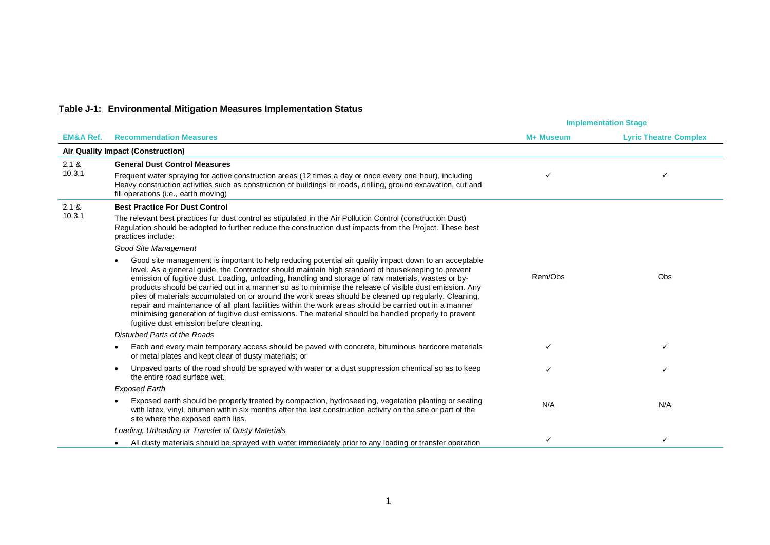## **Table J-1: Environmental Mitigation Measures Implementation Status**

|                      |                                                                                                                                                                                                                                                                                                                                                                                                                                                                                                                                                                                                                                                                                                                                                                                                   | <b>Implementation Stage</b> |                              |
|----------------------|---------------------------------------------------------------------------------------------------------------------------------------------------------------------------------------------------------------------------------------------------------------------------------------------------------------------------------------------------------------------------------------------------------------------------------------------------------------------------------------------------------------------------------------------------------------------------------------------------------------------------------------------------------------------------------------------------------------------------------------------------------------------------------------------------|-----------------------------|------------------------------|
| <b>EM&amp;A Ref.</b> | <b>Recommendation Measures</b>                                                                                                                                                                                                                                                                                                                                                                                                                                                                                                                                                                                                                                                                                                                                                                    | M+ Museum                   | <b>Lyric Theatre Complex</b> |
|                      | Air Quality Impact (Construction)                                                                                                                                                                                                                                                                                                                                                                                                                                                                                                                                                                                                                                                                                                                                                                 |                             |                              |
| 2.1 &                | <b>General Dust Control Measures</b>                                                                                                                                                                                                                                                                                                                                                                                                                                                                                                                                                                                                                                                                                                                                                              |                             |                              |
| 10.3.1               | Frequent water spraying for active construction areas (12 times a day or once every one hour), including<br>Heavy construction activities such as construction of buildings or roads, drilling, ground excavation, cut and<br>fill operations (i.e., earth moving)                                                                                                                                                                                                                                                                                                                                                                                                                                                                                                                                | ✓                           |                              |
| 2.1 &                | <b>Best Practice For Dust Control</b>                                                                                                                                                                                                                                                                                                                                                                                                                                                                                                                                                                                                                                                                                                                                                             |                             |                              |
| 10.3.1               | The relevant best practices for dust control as stipulated in the Air Pollution Control (construction Dust)<br>Regulation should be adopted to further reduce the construction dust impacts from the Project. These best<br>practices include:                                                                                                                                                                                                                                                                                                                                                                                                                                                                                                                                                    |                             |                              |
|                      | <b>Good Site Management</b>                                                                                                                                                                                                                                                                                                                                                                                                                                                                                                                                                                                                                                                                                                                                                                       |                             |                              |
|                      | Good site management is important to help reducing potential air quality impact down to an acceptable<br>level. As a general guide, the Contractor should maintain high standard of housekeeping to prevent<br>emission of fugitive dust. Loading, unloading, handling and storage of raw materials, wastes or by-<br>products should be carried out in a manner so as to minimise the release of visible dust emission. Any<br>piles of materials accumulated on or around the work areas should be cleaned up regularly. Cleaning,<br>repair and maintenance of all plant facilities within the work areas should be carried out in a manner<br>minimising generation of fugitive dust emissions. The material should be handled properly to prevent<br>fugitive dust emission before cleaning. | Rem/Obs                     | Obs                          |
|                      | Disturbed Parts of the Roads                                                                                                                                                                                                                                                                                                                                                                                                                                                                                                                                                                                                                                                                                                                                                                      |                             |                              |
|                      | Each and every main temporary access should be paved with concrete, bituminous hardcore materials<br>or metal plates and kept clear of dusty materials; or                                                                                                                                                                                                                                                                                                                                                                                                                                                                                                                                                                                                                                        |                             |                              |
|                      | Unpaved parts of the road should be sprayed with water or a dust suppression chemical so as to keep<br>the entire road surface wet.                                                                                                                                                                                                                                                                                                                                                                                                                                                                                                                                                                                                                                                               | ✓                           | ✓                            |
|                      | <b>Exposed Earth</b>                                                                                                                                                                                                                                                                                                                                                                                                                                                                                                                                                                                                                                                                                                                                                                              |                             |                              |
|                      | Exposed earth should be properly treated by compaction, hydroseeding, vegetation planting or seating<br>with latex, vinyl, bitumen within six months after the last construction activity on the site or part of the<br>site where the exposed earth lies.                                                                                                                                                                                                                                                                                                                                                                                                                                                                                                                                        | N/A                         | N/A                          |
|                      | Loading, Unloading or Transfer of Dusty Materials                                                                                                                                                                                                                                                                                                                                                                                                                                                                                                                                                                                                                                                                                                                                                 |                             |                              |
|                      | All dusty materials should be sprayed with water immediately prior to any loading or transfer operation                                                                                                                                                                                                                                                                                                                                                                                                                                                                                                                                                                                                                                                                                           | ✓                           | ✓                            |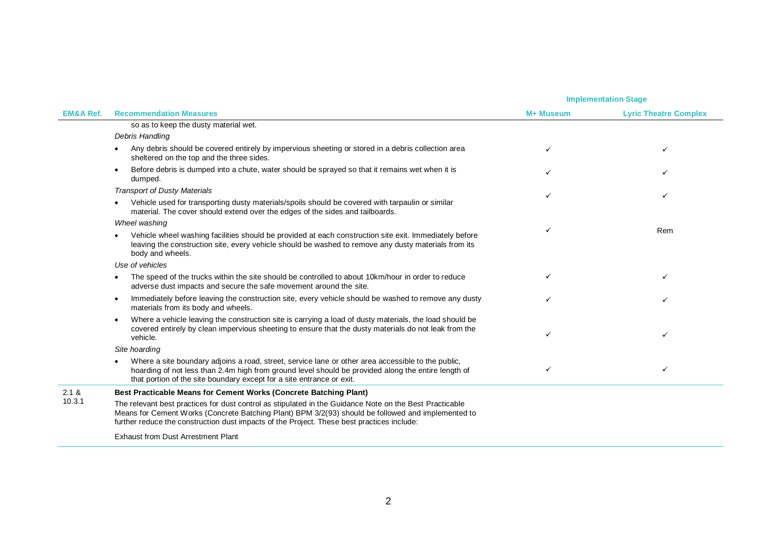|                      |                                                                                                                                                                                                                                                                                                             | <b>Implementation Stage</b> |                              |
|----------------------|-------------------------------------------------------------------------------------------------------------------------------------------------------------------------------------------------------------------------------------------------------------------------------------------------------------|-----------------------------|------------------------------|
| <b>EM&amp;A Ref.</b> | <b>Recommendation Measures</b>                                                                                                                                                                                                                                                                              | M+ Museum                   | <b>Lyric Theatre Complex</b> |
|                      | so as to keep the dusty material wet.                                                                                                                                                                                                                                                                       |                             |                              |
|                      | <b>Debris Handling</b>                                                                                                                                                                                                                                                                                      |                             |                              |
|                      | Any debris should be covered entirely by impervious sheeting or stored in a debris collection area<br>$\bullet$<br>sheltered on the top and the three sides.                                                                                                                                                |                             |                              |
|                      | Before debris is dumped into a chute, water should be sprayed so that it remains wet when it is<br>$\bullet$<br>dumped.                                                                                                                                                                                     | ✓                           | ✓                            |
|                      | <b>Transport of Dusty Materials</b>                                                                                                                                                                                                                                                                         |                             |                              |
|                      | Vehicle used for transporting dusty materials/spoils should be covered with tarpaulin or similar<br>$\bullet$<br>material. The cover should extend over the edges of the sides and tailboards.                                                                                                              |                             |                              |
|                      | Wheel washing                                                                                                                                                                                                                                                                                               |                             |                              |
|                      | Vehicle wheel washing facilities should be provided at each construction site exit. Immediately before<br>leaving the construction site, every vehicle should be washed to remove any dusty materials from its<br>body and wheels.                                                                          |                             | Rem                          |
|                      | Use of vehicles                                                                                                                                                                                                                                                                                             |                             |                              |
|                      | The speed of the trucks within the site should be controlled to about 10km/hour in order to reduce<br>$\bullet$<br>adverse dust impacts and secure the safe movement around the site.                                                                                                                       |                             | ✓                            |
|                      | Immediately before leaving the construction site, every vehicle should be washed to remove any dusty<br>$\bullet$<br>materials from its body and wheels.                                                                                                                                                    |                             | ✓                            |
|                      | Where a vehicle leaving the construction site is carrying a load of dusty materials, the load should be<br>$\bullet$<br>covered entirely by clean impervious sheeting to ensure that the dusty materials do not leak from the<br>vehicle.                                                                   |                             | ✓                            |
|                      | Site hoarding                                                                                                                                                                                                                                                                                               |                             |                              |
|                      | Where a site boundary adjoins a road, street, service lane or other area accessible to the public,<br>$\bullet$<br>hoarding of not less than 2.4m high from ground level should be provided along the entire length of<br>that portion of the site boundary except for a site entrance or exit.             |                             | ✓                            |
| 2.1 &                | Best Practicable Means for Cement Works (Concrete Batching Plant)                                                                                                                                                                                                                                           |                             |                              |
| 10.3.1               | The relevant best practices for dust control as stipulated in the Guidance Note on the Best Practicable<br>Means for Cement Works (Concrete Batching Plant) BPM 3/2(93) should be followed and implemented to<br>further reduce the construction dust impacts of the Project. These best practices include: |                             |                              |
|                      | <b>Exhaust from Dust Arrestment Plant</b>                                                                                                                                                                                                                                                                   |                             |                              |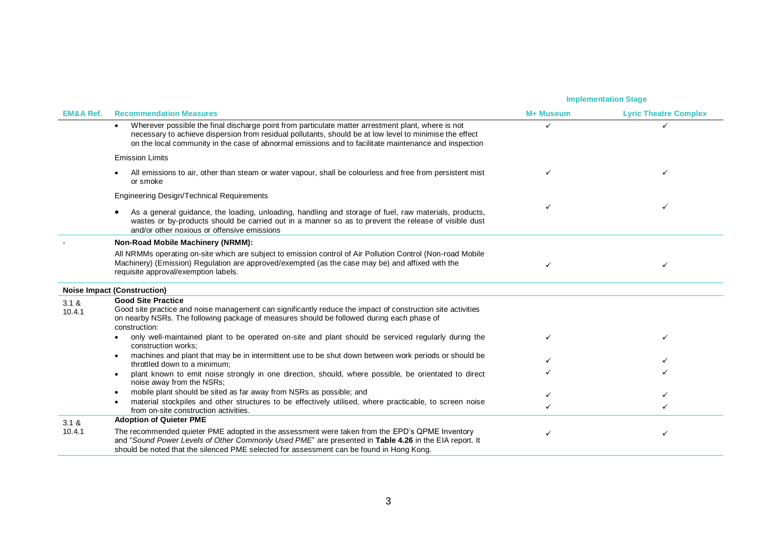|                      |                                                                                                                                                                                                                                                                                                                        |           | <b>Implementation Stage</b>  |  |
|----------------------|------------------------------------------------------------------------------------------------------------------------------------------------------------------------------------------------------------------------------------------------------------------------------------------------------------------------|-----------|------------------------------|--|
| <b>EM&amp;A Ref.</b> | <b>Recommendation Measures</b>                                                                                                                                                                                                                                                                                         | M+ Museum | <b>Lyric Theatre Complex</b> |  |
|                      | Wherever possible the final discharge point from particulate matter arrestment plant, where is not<br>necessary to achieve dispersion from residual pollutants, should be at low level to minimise the effect<br>on the local community in the case of abnormal emissions and to facilitate maintenance and inspection | ✓         | ✓                            |  |
|                      | <b>Emission Limits</b>                                                                                                                                                                                                                                                                                                 |           |                              |  |
|                      | All emissions to air, other than steam or water vapour, shall be colourless and free from persistent mist<br>or smoke                                                                                                                                                                                                  |           |                              |  |
|                      | Engineering Design/Technical Requirements                                                                                                                                                                                                                                                                              |           |                              |  |
|                      | As a general guidance, the loading, unloading, handling and storage of fuel, raw materials, products,<br>wastes or by-products should be carried out in a manner so as to prevent the release of visible dust<br>and/or other noxious or offensive emissions                                                           |           | ✓                            |  |
|                      | Non-Road Mobile Machinery (NRMM):                                                                                                                                                                                                                                                                                      |           |                              |  |
|                      | All NRMMs operating on-site which are subject to emission control of Air Pollution Control (Non-road Mobile<br>Machinery) (Emission) Regulation are approved/exempted (as the case may be) and affixed with the<br>requisite approval/exemption labels.                                                                |           | ✓                            |  |
|                      | <b>Noise Impact (Construction)</b>                                                                                                                                                                                                                                                                                     |           |                              |  |
| 3.1 &<br>10.4.1      | <b>Good Site Practice</b><br>Good site practice and noise management can significantly reduce the impact of construction site activities<br>on nearby NSRs. The following package of measures should be followed during each phase of<br>construction:                                                                 |           |                              |  |
|                      | only well-maintained plant to be operated on-site and plant should be serviced regularly during the<br>construction works:                                                                                                                                                                                             | ✓         | ✓                            |  |
|                      | machines and plant that may be in intermittent use to be shut down between work periods or should be<br>throttled down to a minimum;                                                                                                                                                                                   |           |                              |  |
|                      | plant known to emit noise strongly in one direction, should, where possible, be orientated to direct<br>noise away from the NSRs;                                                                                                                                                                                      |           |                              |  |
|                      | mobile plant should be sited as far away from NSRs as possible; and                                                                                                                                                                                                                                                    |           |                              |  |
|                      | material stockpiles and other structures to be effectively utilised, where practicable, to screen noise<br>from on-site construction activities.                                                                                                                                                                       |           | ✓                            |  |
| 3.1 &                | <b>Adoption of Quieter PME</b>                                                                                                                                                                                                                                                                                         |           |                              |  |
| 10.4.1               | The recommended quieter PME adopted in the assessment were taken from the EPD's QPME Inventory<br>and "Sound Power Levels of Other Commonly Used PME" are presented in Table 4.26 in the EIA report. It<br>should be noted that the silenced PME selected for assessment can be found in Hong Kong.                    |           | ✓                            |  |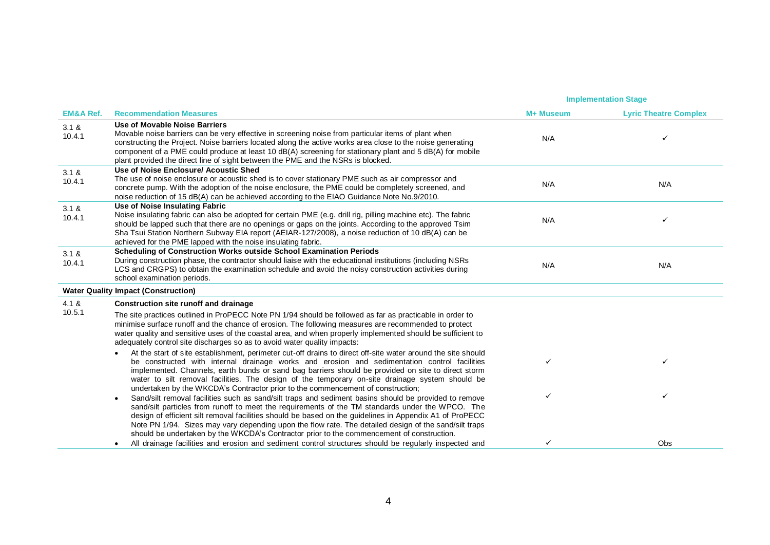|                      |                                                                                                                                                                                                                                                                                                                                                                                                                                                                                                                                         |           | <b>Implementation Stage</b>  |  |
|----------------------|-----------------------------------------------------------------------------------------------------------------------------------------------------------------------------------------------------------------------------------------------------------------------------------------------------------------------------------------------------------------------------------------------------------------------------------------------------------------------------------------------------------------------------------------|-----------|------------------------------|--|
| <b>EM&amp;A Ref.</b> | <b>Recommendation Measures</b>                                                                                                                                                                                                                                                                                                                                                                                                                                                                                                          | M+ Museum | <b>Lyric Theatre Complex</b> |  |
| 3.1 &<br>10.4.1      | Use of Movable Noise Barriers<br>Movable noise barriers can be very effective in screening noise from particular items of plant when<br>constructing the Project. Noise barriers located along the active works area close to the noise generating<br>component of a PME could produce at least 10 dB(A) screening for stationary plant and 5 dB(A) for mobile<br>plant provided the direct line of sight between the PME and the NSRs is blocked.                                                                                      | N/A       |                              |  |
| 3.1 &<br>10.4.1      | Use of Noise Enclosure/ Acoustic Shed<br>The use of noise enclosure or acoustic shed is to cover stationary PME such as air compressor and<br>concrete pump. With the adoption of the noise enclosure, the PME could be completely screened, and<br>noise reduction of 15 dB(A) can be achieved according to the EIAO Guidance Note No.9/2010.                                                                                                                                                                                          | N/A       | N/A                          |  |
| 3.1 &<br>10.4.1      | Use of Noise Insulating Fabric<br>Noise insulating fabric can also be adopted for certain PME (e.g. drill rig, pilling machine etc). The fabric<br>should be lapped such that there are no openings or gaps on the joints. According to the approved Tsim<br>Sha Tsui Station Northern Subway EIA report (AEIAR-127/2008), a noise reduction of 10 dB(A) can be<br>achieved for the PME lapped with the noise insulating fabric.                                                                                                        | N/A       | ✓                            |  |
| 3.1 &<br>10.4.1      | Scheduling of Construction Works outside School Examination Periods<br>During construction phase, the contractor should liaise with the educational institutions (including NSRs<br>LCS and CRGPS) to obtain the examination schedule and avoid the noisy construction activities during<br>school examination periods.                                                                                                                                                                                                                 | N/A       | N/A                          |  |
|                      | <b>Water Quality Impact (Construction)</b>                                                                                                                                                                                                                                                                                                                                                                                                                                                                                              |           |                              |  |
| 4.1 &                | Construction site runoff and drainage                                                                                                                                                                                                                                                                                                                                                                                                                                                                                                   |           |                              |  |
| 10.5.1               | The site practices outlined in ProPECC Note PN 1/94 should be followed as far as practicable in order to<br>minimise surface runoff and the chance of erosion. The following measures are recommended to protect<br>water quality and sensitive uses of the coastal area, and when properly implemented should be sufficient to<br>adequately control site discharges so as to avoid water quality impacts:                                                                                                                             |           |                              |  |
|                      | At the start of site establishment, perimeter cut-off drains to direct off-site water around the site should<br>be constructed with internal drainage works and erosion and sedimentation control facilities<br>implemented. Channels, earth bunds or sand bag barriers should be provided on site to direct storm<br>water to silt removal facilities. The design of the temporary on-site drainage system should be<br>undertaken by the WKCDA's Contractor prior to the commencement of construction;                                | ✓         | $\checkmark$                 |  |
|                      | Sand/silt removal facilities such as sand/silt traps and sediment basins should be provided to remove<br>$\bullet$<br>sand/silt particles from runoff to meet the requirements of the TM standards under the WPCO. The<br>design of efficient silt removal facilities should be based on the guidelines in Appendix A1 of ProPECC<br>Note PN 1/94. Sizes may vary depending upon the flow rate. The detailed design of the sand/silt traps<br>should be undertaken by the WKCDA's Contractor prior to the commencement of construction. |           | $\checkmark$                 |  |
|                      | All drainage facilities and erosion and sediment control structures should be regularly inspected and                                                                                                                                                                                                                                                                                                                                                                                                                                   | ✓         | <b>Obs</b>                   |  |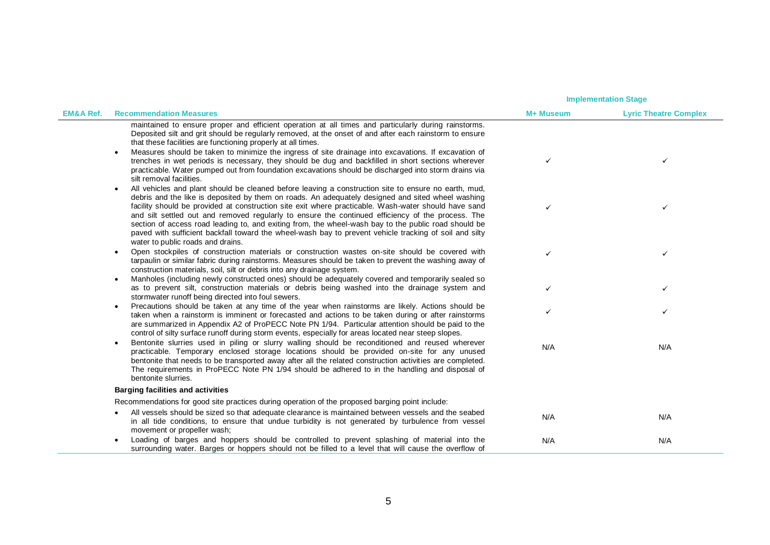|                      |                                                                                                                                                                                                                                                                                                                                                                                                                                                                                                                                                                                                                                                                                            | <b>Implementation Stage</b> |                              |
|----------------------|--------------------------------------------------------------------------------------------------------------------------------------------------------------------------------------------------------------------------------------------------------------------------------------------------------------------------------------------------------------------------------------------------------------------------------------------------------------------------------------------------------------------------------------------------------------------------------------------------------------------------------------------------------------------------------------------|-----------------------------|------------------------------|
| <b>EM&amp;A Ref.</b> | <b>Recommendation Measures</b>                                                                                                                                                                                                                                                                                                                                                                                                                                                                                                                                                                                                                                                             | M+ Museum                   | <b>Lyric Theatre Complex</b> |
|                      | maintained to ensure proper and efficient operation at all times and particularly during rainstorms.<br>Deposited silt and grit should be regularly removed, at the onset of and after each rainstorm to ensure<br>that these facilities are functioning properly at all times.<br>Measures should be taken to minimize the ingress of site drainage into excavations. If excavation of<br>trenches in wet periods is necessary, they should be dug and backfilled in short sections wherever<br>practicable. Water pumped out from foundation excavations should be discharged into storm drains via<br>silt removal facilities.                                                          | ✓                           | ✓                            |
|                      | All vehicles and plant should be cleaned before leaving a construction site to ensure no earth, mud,<br>$\bullet$<br>debris and the like is deposited by them on roads. An adequately designed and sited wheel washing<br>facility should be provided at construction site exit where practicable. Wash-water should have sand<br>and silt settled out and removed regularly to ensure the continued efficiency of the process. The<br>section of access road leading to, and exiting from, the wheel-wash bay to the public road should be<br>paved with sufficient backfall toward the wheel-wash bay to prevent vehicle tracking of soil and silty<br>water to public roads and drains. | $\checkmark$                | ✓                            |
|                      | Open stockpiles of construction materials or construction wastes on-site should be covered with<br>$\bullet$<br>tarpaulin or similar fabric during rainstorms. Measures should be taken to prevent the washing away of<br>construction materials, soil, silt or debris into any drainage system.                                                                                                                                                                                                                                                                                                                                                                                           | ✓                           | ✓                            |
|                      | Manholes (including newly constructed ones) should be adequately covered and temporarily sealed so<br>as to prevent silt, construction materials or debris being washed into the drainage system and<br>stormwater runoff being directed into foul sewers.                                                                                                                                                                                                                                                                                                                                                                                                                                 | $\checkmark$                | ✓                            |
|                      | Precautions should be taken at any time of the year when rainstorms are likely. Actions should be<br>$\bullet$<br>taken when a rainstorm is imminent or forecasted and actions to be taken during or after rainstorms<br>are summarized in Appendix A2 of ProPECC Note PN 1/94. Particular attention should be paid to the<br>control of silty surface runoff during storm events, especially for areas located near steep slopes.                                                                                                                                                                                                                                                         |                             | ✓                            |
|                      | Bentonite slurries used in piling or slurry walling should be reconditioned and reused wherever<br>practicable. Temporary enclosed storage locations should be provided on-site for any unused<br>bentonite that needs to be transported away after all the related construction activities are completed.<br>The requirements in ProPECC Note PN 1/94 should be adhered to in the handling and disposal of<br>bentonite slurries.                                                                                                                                                                                                                                                         | N/A                         | N/A                          |
|                      | <b>Barging facilities and activities</b>                                                                                                                                                                                                                                                                                                                                                                                                                                                                                                                                                                                                                                                   |                             |                              |
|                      | Recommendations for good site practices during operation of the proposed barging point include:                                                                                                                                                                                                                                                                                                                                                                                                                                                                                                                                                                                            |                             |                              |
|                      | All vessels should be sized so that adequate clearance is maintained between vessels and the seabed<br>in all tide conditions, to ensure that undue turbidity is not generated by turbulence from vessel<br>movement or propeller wash;                                                                                                                                                                                                                                                                                                                                                                                                                                                    | N/A                         | N/A                          |
|                      | Loading of barges and hoppers should be controlled to prevent splashing of material into the<br>surrounding water. Barges or hoppers should not be filled to a level that will cause the overflow of                                                                                                                                                                                                                                                                                                                                                                                                                                                                                       | N/A                         | N/A                          |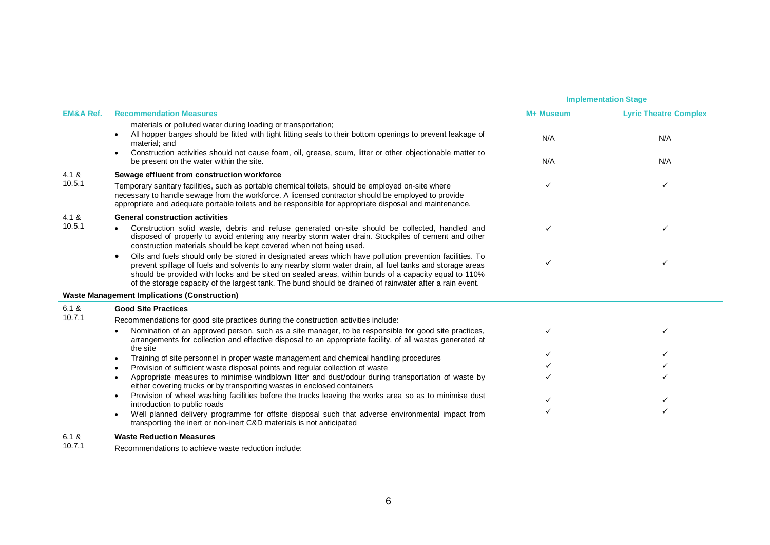|                      |                                                                                                                                                                                                                                                                                                                                                                                                                                                      |            | <b>Implementation Stage</b>  |
|----------------------|------------------------------------------------------------------------------------------------------------------------------------------------------------------------------------------------------------------------------------------------------------------------------------------------------------------------------------------------------------------------------------------------------------------------------------------------------|------------|------------------------------|
| <b>EM&amp;A Ref.</b> | <b>Recommendation Measures</b>                                                                                                                                                                                                                                                                                                                                                                                                                       | M+ Museum  | <b>Lyric Theatre Complex</b> |
|                      | materials or polluted water during loading or transportation;<br>All hopper barges should be fitted with tight fitting seals to their bottom openings to prevent leakage of<br>$\bullet$<br>material; and<br>Construction activities should not cause foam, oil, grease, scum, litter or other objectionable matter to<br>$\bullet$<br>be present on the water within the site.                                                                      | N/A<br>N/A | N/A<br>N/A                   |
| 4.1 &                | Sewage effluent from construction workforce                                                                                                                                                                                                                                                                                                                                                                                                          |            |                              |
| 10.5.1               | Temporary sanitary facilities, such as portable chemical toilets, should be employed on-site where<br>necessary to handle sewage from the workforce. A licensed contractor should be employed to provide<br>appropriate and adequate portable toilets and be responsible for appropriate disposal and maintenance.                                                                                                                                   | ✓          | ✓                            |
| 4.1 &                | <b>General construction activities</b>                                                                                                                                                                                                                                                                                                                                                                                                               |            |                              |
| 10.5.1               | Construction solid waste, debris and refuse generated on-site should be collected, handled and<br>disposed of properly to avoid entering any nearby storm water drain. Stockpiles of cement and other<br>construction materials should be kept covered when not being used.                                                                                                                                                                          |            |                              |
|                      | Oils and fuels should only be stored in designated areas which have pollution prevention facilities. To<br>$\bullet$<br>prevent spillage of fuels and solvents to any nearby storm water drain, all fuel tanks and storage areas<br>should be provided with locks and be sited on sealed areas, within bunds of a capacity equal to 110%<br>of the storage capacity of the largest tank. The bund should be drained of rainwater after a rain event. | ✓          |                              |
|                      | <b>Waste Management Implications (Construction)</b>                                                                                                                                                                                                                                                                                                                                                                                                  |            |                              |
| 6.1 &                | <b>Good Site Practices</b>                                                                                                                                                                                                                                                                                                                                                                                                                           |            |                              |
| 10.7.1               | Recommendations for good site practices during the construction activities include:                                                                                                                                                                                                                                                                                                                                                                  |            |                              |
|                      | Nomination of an approved person, such as a site manager, to be responsible for good site practices,<br>arrangements for collection and effective disposal to an appropriate facility, of all wastes generated at<br>the site                                                                                                                                                                                                                        |            |                              |
|                      | Training of site personnel in proper waste management and chemical handling procedures<br>$\bullet$                                                                                                                                                                                                                                                                                                                                                  |            |                              |
|                      | Provision of sufficient waste disposal points and regular collection of waste<br>$\bullet$                                                                                                                                                                                                                                                                                                                                                           |            |                              |
|                      | Appropriate measures to minimise windblown litter and dust/odour during transportation of waste by<br>$\bullet$<br>either covering trucks or by transporting wastes in enclosed containers                                                                                                                                                                                                                                                           |            |                              |
|                      | Provision of wheel washing facilities before the trucks leaving the works area so as to minimise dust<br>$\bullet$                                                                                                                                                                                                                                                                                                                                   |            |                              |
|                      | introduction to public roads<br>Well planned delivery programme for offsite disposal such that adverse environmental impact from<br>$\bullet$<br>transporting the inert or non-inert C&D materials is not anticipated                                                                                                                                                                                                                                |            |                              |
| 6.1 &                | <b>Waste Reduction Measures</b>                                                                                                                                                                                                                                                                                                                                                                                                                      |            |                              |
| 10.7.1               | Recommendations to achieve waste reduction include:                                                                                                                                                                                                                                                                                                                                                                                                  |            |                              |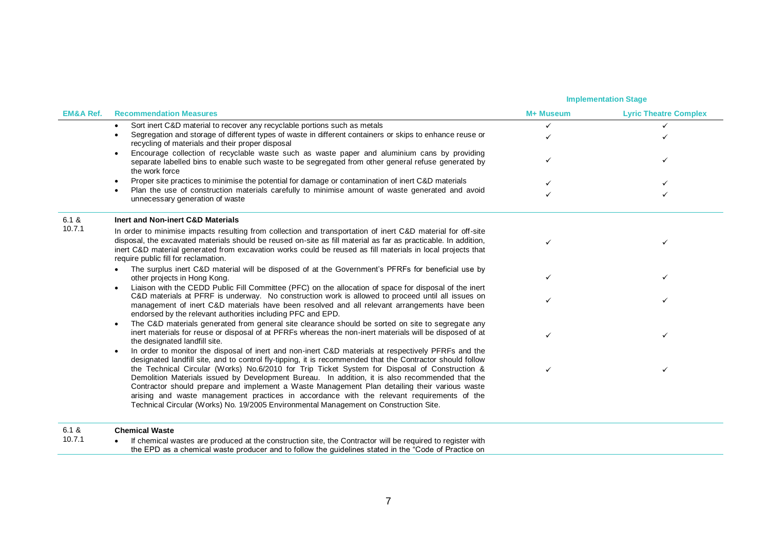|                      |                                                                                                                                                                                                                                                                                                                                                                                                                                    |           | <b>Implementation Stage</b>  |
|----------------------|------------------------------------------------------------------------------------------------------------------------------------------------------------------------------------------------------------------------------------------------------------------------------------------------------------------------------------------------------------------------------------------------------------------------------------|-----------|------------------------------|
| <b>EM&amp;A Ref.</b> | <b>Recommendation Measures</b>                                                                                                                                                                                                                                                                                                                                                                                                     | M+ Museum | <b>Lyric Theatre Complex</b> |
|                      | Sort inert C&D material to recover any recyclable portions such as metals<br>$\bullet$                                                                                                                                                                                                                                                                                                                                             |           |                              |
|                      | Segregation and storage of different types of waste in different containers or skips to enhance reuse or<br>$\bullet$<br>recycling of materials and their proper disposal                                                                                                                                                                                                                                                          |           |                              |
|                      | Encourage collection of recyclable waste such as waste paper and aluminium cans by providing<br>$\bullet$<br>separate labelled bins to enable such waste to be segregated from other general refuse generated by<br>the work force                                                                                                                                                                                                 |           |                              |
|                      | Proper site practices to minimise the potential for damage or contamination of inert C&D materials<br>$\bullet$                                                                                                                                                                                                                                                                                                                    |           |                              |
|                      | Plan the use of construction materials carefully to minimise amount of waste generated and avoid<br>$\bullet$<br>unnecessary generation of waste                                                                                                                                                                                                                                                                                   |           |                              |
| 6.1 &                | Inert and Non-inert C&D Materials                                                                                                                                                                                                                                                                                                                                                                                                  |           |                              |
| 10.7.1               | In order to minimise impacts resulting from collection and transportation of inert C&D material for off-site<br>disposal, the excavated materials should be reused on-site as fill material as far as practicable. In addition,<br>inert C&D material generated from excavation works could be reused as fill materials in local projects that<br>require public fill for reclamation.                                             |           |                              |
|                      | The surplus inert C&D material will be disposed of at the Government's PFRFs for beneficial use by<br>other projects in Hong Kong.                                                                                                                                                                                                                                                                                                 |           |                              |
|                      | Liaison with the CEDD Public Fill Committee (PFC) on the allocation of space for disposal of the inert<br>$\bullet$<br>C&D materials at PFRF is underway. No construction work is allowed to proceed until all issues on<br>management of inert C&D materials have been resolved and all relevant arrangements have been<br>endorsed by the relevant authorities including PFC and EPD.                                            |           |                              |
|                      | The C&D materials generated from general site clearance should be sorted on site to segregate any<br>$\bullet$<br>inert materials for reuse or disposal of at PFRFs whereas the non-inert materials will be disposed of at<br>the designated landfill site.                                                                                                                                                                        |           |                              |
|                      | In order to monitor the disposal of inert and non-inert C&D materials at respectively PFRFs and the<br>$\bullet$<br>designated landfill site, and to control fly-tipping, it is recommended that the Contractor should follow<br>the Technical Circular (Works) No.6/2010 for Trip Ticket System for Disposal of Construction &<br>Demolition Materials issued by Development Bureau. In addition, it is also recommended that the |           |                              |
|                      | Contractor should prepare and implement a Waste Management Plan detailing their various waste<br>arising and waste management practices in accordance with the relevant requirements of the<br>Technical Circular (Works) No. 19/2005 Environmental Management on Construction Site.                                                                                                                                               |           |                              |

• If chemical wastes are produced at the construction site, the Contractor will be required to register with the EPD as a chemical waste producer and to follow the guidelines stated in the "Code of Practice on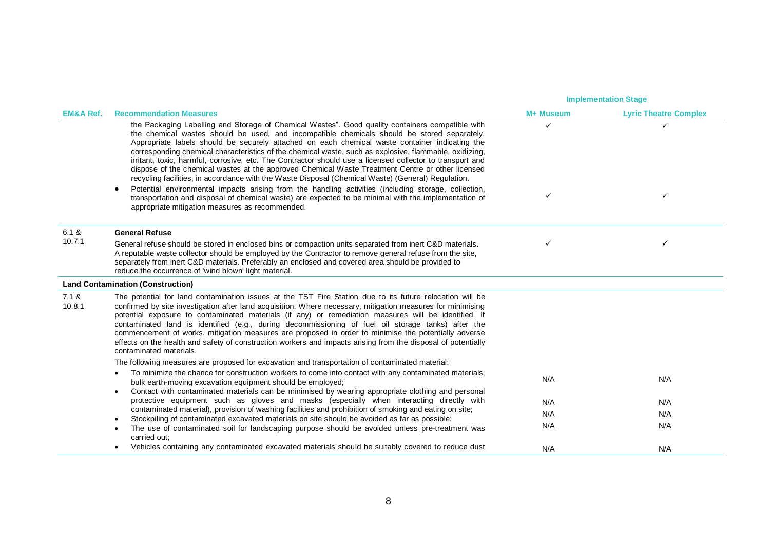|                      |                                                                                                                                                                                                                                                                                                                                                                                                                                                                                                                                                                                                                                                                                                                                    | <b>Implementation Stage</b> |                              |
|----------------------|------------------------------------------------------------------------------------------------------------------------------------------------------------------------------------------------------------------------------------------------------------------------------------------------------------------------------------------------------------------------------------------------------------------------------------------------------------------------------------------------------------------------------------------------------------------------------------------------------------------------------------------------------------------------------------------------------------------------------------|-----------------------------|------------------------------|
| <b>EM&amp;A Ref.</b> | <b>Recommendation Measures</b>                                                                                                                                                                                                                                                                                                                                                                                                                                                                                                                                                                                                                                                                                                     | M+ Museum                   | <b>Lyric Theatre Complex</b> |
|                      | the Packaging Labelling and Storage of Chemical Wastes". Good quality containers compatible with<br>the chemical wastes should be used, and incompatible chemicals should be stored separately.<br>Appropriate labels should be securely attached on each chemical waste container indicating the<br>corresponding chemical characteristics of the chemical waste, such as explosive, flammable, oxidizing,<br>irritant, toxic, harmful, corrosive, etc. The Contractor should use a licensed collector to transport and<br>dispose of the chemical wastes at the approved Chemical Waste Treatment Centre or other licensed<br>recycling facilities, in accordance with the Waste Disposal (Chemical Waste) (General) Regulation. | ✓                           | $\checkmark$                 |
|                      | Potential environmental impacts arising from the handling activities (including storage, collection,<br>$\bullet$<br>transportation and disposal of chemical waste) are expected to be minimal with the implementation of<br>appropriate mitigation measures as recommended.                                                                                                                                                                                                                                                                                                                                                                                                                                                       | ✓                           | ✓                            |
| 6.1 &                | <b>General Refuse</b>                                                                                                                                                                                                                                                                                                                                                                                                                                                                                                                                                                                                                                                                                                              |                             |                              |
| 10.7.1               | General refuse should be stored in enclosed bins or compaction units separated from inert C&D materials.<br>A reputable waste collector should be employed by the Contractor to remove general refuse from the site,<br>separately from inert C&D materials. Preferably an enclosed and covered area should be provided to<br>reduce the occurrence of 'wind blown' light material.                                                                                                                                                                                                                                                                                                                                                | ✓                           | ✓                            |
|                      | <b>Land Contamination (Construction)</b>                                                                                                                                                                                                                                                                                                                                                                                                                                                                                                                                                                                                                                                                                           |                             |                              |
| 7.1 &<br>10.8.1      | The potential for land contamination issues at the TST Fire Station due to its future relocation will be<br>confirmed by site investigation after land acquisition. Where necessary, mitigation measures for minimising<br>potential exposure to contaminated materials (if any) or remediation measures will be identified. If<br>contaminated land is identified (e.g., during decommissioning of fuel oil storage tanks) after the<br>commencement of works, mitigation measures are proposed in order to minimise the potentially adverse<br>effects on the health and safety of construction workers and impacts arising from the disposal of potentially<br>contaminated materials.                                          |                             |                              |
|                      | The following measures are proposed for excavation and transportation of contaminated material:                                                                                                                                                                                                                                                                                                                                                                                                                                                                                                                                                                                                                                    |                             |                              |
|                      | To minimize the chance for construction workers to come into contact with any contaminated materials,<br>$\bullet$<br>bulk earth-moving excavation equipment should be employed;                                                                                                                                                                                                                                                                                                                                                                                                                                                                                                                                                   | N/A                         | N/A                          |
|                      | Contact with contaminated materials can be minimised by wearing appropriate clothing and personal<br>$\bullet$<br>protective equipment such as gloves and masks (especially when interacting directly with<br>contaminated material), provision of washing facilities and prohibition of smoking and eating on site;<br>Stockpiling of contaminated excavated materials on site should be avoided as far as possible;<br>$\bullet$<br>The use of contaminated soil for landscaping purpose should be avoided unless pre-treatment was<br>$\bullet$                                                                                                                                                                                 | N/A                         | N/A                          |
|                      |                                                                                                                                                                                                                                                                                                                                                                                                                                                                                                                                                                                                                                                                                                                                    | N/A                         | N/A                          |
|                      |                                                                                                                                                                                                                                                                                                                                                                                                                                                                                                                                                                                                                                                                                                                                    | N/A                         | N/A                          |
|                      | carried out:                                                                                                                                                                                                                                                                                                                                                                                                                                                                                                                                                                                                                                                                                                                       |                             |                              |
|                      | Vehicles containing any contaminated excavated materials should be suitably covered to reduce dust<br>$\bullet$                                                                                                                                                                                                                                                                                                                                                                                                                                                                                                                                                                                                                    | N/A                         | N/A                          |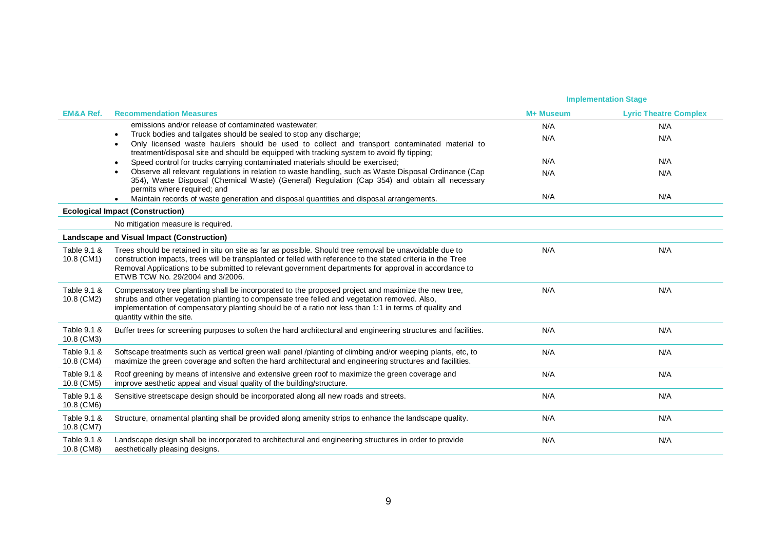|                           |                                                                                                                                                                                                                                                                                                                                                                     | <b>Implementation Stage</b> |                              |
|---------------------------|---------------------------------------------------------------------------------------------------------------------------------------------------------------------------------------------------------------------------------------------------------------------------------------------------------------------------------------------------------------------|-----------------------------|------------------------------|
| <b>EM&amp;A Ref.</b>      | <b>Recommendation Measures</b>                                                                                                                                                                                                                                                                                                                                      | M+ Museum                   | <b>Lyric Theatre Complex</b> |
|                           | emissions and/or release of contaminated wastewater:                                                                                                                                                                                                                                                                                                                | N/A                         | N/A                          |
|                           | Truck bodies and tailgates should be sealed to stop any discharge;<br>$\bullet$<br>Only licensed waste haulers should be used to collect and transport contaminated material to<br>$\bullet$<br>treatment/disposal site and should be equipped with tracking system to avoid fly tipping;                                                                           | N/A                         | N/A                          |
|                           | Speed control for trucks carrying contaminated materials should be exercised;<br>$\bullet$                                                                                                                                                                                                                                                                          | N/A                         | N/A                          |
|                           | Observe all relevant regulations in relation to waste handling, such as Waste Disposal Ordinance (Cap<br>$\bullet$<br>354), Waste Disposal (Chemical Waste) (General) Regulation (Cap 354) and obtain all necessary<br>permits where required; and                                                                                                                  | N/A                         | N/A                          |
|                           | Maintain records of waste generation and disposal quantities and disposal arrangements.                                                                                                                                                                                                                                                                             | N/A                         | N/A                          |
|                           | <b>Ecological Impact (Construction)</b>                                                                                                                                                                                                                                                                                                                             |                             |                              |
|                           | No mitigation measure is required.                                                                                                                                                                                                                                                                                                                                  |                             |                              |
|                           | Landscape and Visual Impact (Construction)                                                                                                                                                                                                                                                                                                                          |                             |                              |
| Table 9.1 &<br>10.8 (CM1) | Trees should be retained in situ on site as far as possible. Should tree removal be unavoidable due to<br>construction impacts, trees will be transplanted or felled with reference to the stated criteria in the Tree<br>Removal Applications to be submitted to relevant government departments for approval in accordance to<br>ETWB TCW No. 29/2004 and 3/2006. | N/A                         | N/A                          |
| Table 9.1 &<br>10.8 (CM2) | Compensatory tree planting shall be incorporated to the proposed project and maximize the new tree.<br>shrubs and other vegetation planting to compensate tree felled and vegetation removed. Also,<br>implementation of compensatory planting should be of a ratio not less than 1:1 in terms of quality and<br>quantity within the site.                          | N/A                         | N/A                          |
| Table 9.1 &<br>10.8 (CM3) | Buffer trees for screening purposes to soften the hard architectural and engineering structures and facilities.                                                                                                                                                                                                                                                     | N/A                         | N/A                          |
| Table 9.1 &<br>10.8 (CM4) | Softscape treatments such as vertical green wall panel /planting of climbing and/or weeping plants, etc, to<br>maximize the green coverage and soften the hard architectural and engineering structures and facilities.                                                                                                                                             | N/A                         | N/A                          |
| Table 9.1 &<br>10.8 (CM5) | Roof greening by means of intensive and extensive green roof to maximize the green coverage and<br>improve aesthetic appeal and visual quality of the building/structure.                                                                                                                                                                                           | N/A                         | N/A                          |
| Table 9.1 &<br>10.8 (CM6) | Sensitive streetscape design should be incorporated along all new roads and streets.                                                                                                                                                                                                                                                                                | N/A                         | N/A                          |
| Table 9.1 &<br>10.8 (CM7) | Structure, ornamental planting shall be provided along amenity strips to enhance the landscape quality.                                                                                                                                                                                                                                                             | N/A                         | N/A                          |
| Table 9.1 &<br>10.8 (CM8) | Landscape design shall be incorporated to architectural and engineering structures in order to provide<br>aesthetically pleasing designs.                                                                                                                                                                                                                           | N/A                         | N/A                          |